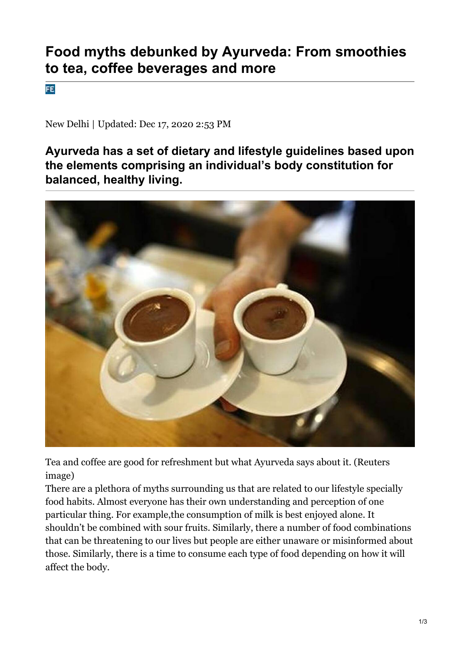## **Food myths debunked by Ayurveda: From smoothies to tea, coffee beverages and more**

**FE** 

New Delhi | Updated: Dec 17, 2020 2:53 PM

**Ayurveda has a set of dietary and lifestyle guidelines based upon the elements comprising an individual's body constitution for balanced, healthy living.**



Tea and coffee are good for refreshment but what Ayurveda says about it. (Reuters image)

There are a plethora of myths surrounding us that are related to our lifestyle specially food habits. Almost everyone has their own understanding and perception of one particular thing. For example,the consumption of milk is best enjoyed alone. It shouldn't be combined with sour fruits. Similarly, there a number of food combinations that can be threatening to our lives but people are either unaware or misinformed about those. Similarly, there is a time to consume each type of food depending on how it will affect the body.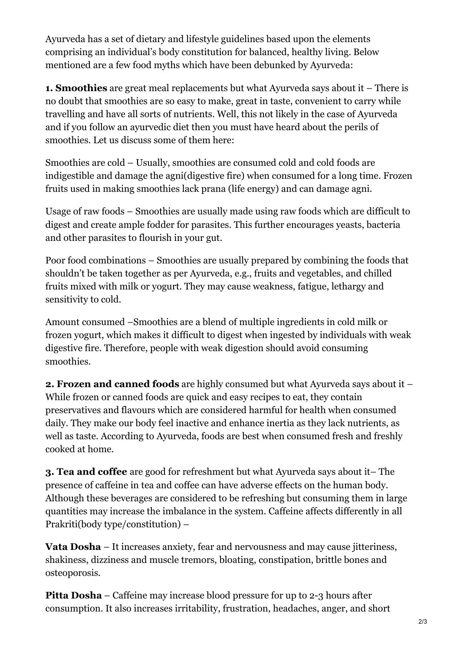Ayurveda has a set of dietary and lifestyle guidelines based upon the elements comprising an individual's body constitution for balanced, healthy living. Below mentioned are a few food myths which have been debunked by Ayurveda:

**1. Smoothies** are great meal replacements but what Ayurveda says about it – There is no doubt that smoothies are so easy to make, great in taste, convenient to carry while travelling and have all sorts of nutrients. Well, this not likely in the case of Ayurveda and if you follow an ayurvedic diet then you must have heard about the perils of smoothies. Let us discuss some of them here:

Smoothies are cold – Usually, smoothies are consumed cold and cold foods are indigestible and damage the agni(digestive fire) when consumed for a long time. Frozen fruits used in making smoothies lack prana (life energy) and can damage agni.

Usage of raw foods – Smoothies are usually made using raw foods which are difficult to digest and create ample fodder for parasites. This further encourages yeasts, bacteria and other parasites to flourish in your gut.

Poor food combinations – Smoothies are usually prepared by combining the foods that shouldn't be taken together as per Ayurveda, e.g., fruits and vegetables, and chilled fruits mixed with milk or yogurt. They may cause weakness, fatigue, lethargy and sensitivity to cold.

Amount consumed –Smoothies are a blend of multiple ingredients in cold milk or frozen yogurt, which makes it difficult to digest when ingested by individuals with weak digestive fire. Therefore, people with weak digestion should avoid consuming smoothies.

**2. Frozen and canned foods** are highly consumed but what Ayurveda says about it – While frozen or canned foods are quick and easy recipes to eat, they contain preservatives and flavours which are considered harmful for health when consumed daily. They make our body feel inactive and enhance inertia as they lack nutrients, as well as taste. According to Ayurveda, foods are best when consumed fresh and freshly cooked at home.

**3. Tea and coffee** are good for refreshment but what Ayurveda says about it– The presence of caffeine in tea and coffee can have adverse effects on the human body. Although these beverages are considered to be refreshing but consuming them in large quantities may increase the imbalance in the system. Caffeine affects differently in all Prakriti(body type/constitution) –

**Vata Dosha** – It increases anxiety, fear and nervousness and may cause jitteriness, shakiness, dizziness and muscle tremors, bloating, constipation, brittle bones and osteoporosis.

**Pitta Dosha** – Caffeine may increase blood pressure for up to 2-3 hours after consumption. It also increases irritability, frustration, headaches, anger, and short